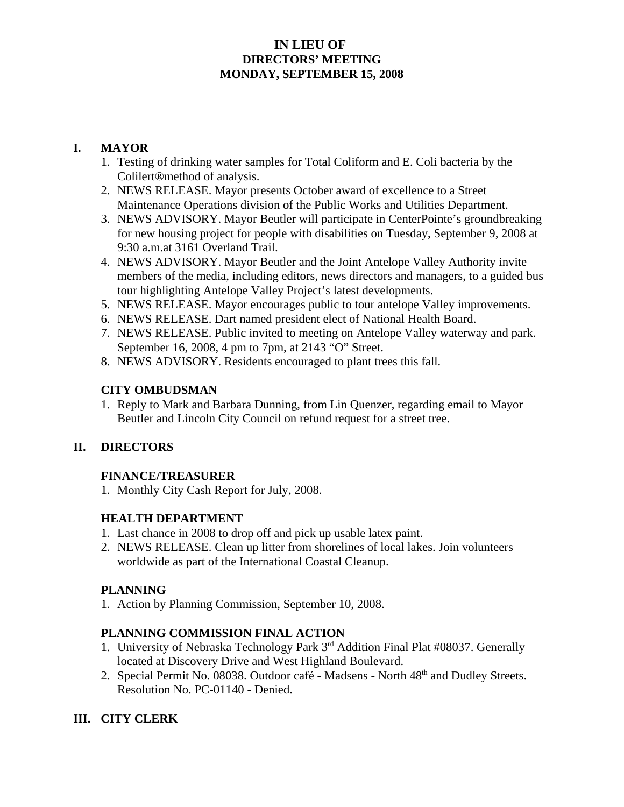#### **IN LIEU OF DIRECTORS' MEETING MONDAY, SEPTEMBER 15, 2008**

#### **I. MAYOR**

- 1. Testing of drinking water samples for Total Coliform and E. Coli bacteria by the Colilert®method of analysis.
- 2. NEWS RELEASE. Mayor presents October award of excellence to a Street Maintenance Operations division of the Public Works and Utilities Department.
- 3. NEWS ADVISORY. Mayor Beutler will participate in CenterPointe's groundbreaking for new housing project for people with disabilities on Tuesday, September 9, 2008 at 9:30 a.m.at 3161 Overland Trail.
- 4. NEWS ADVISORY. Mayor Beutler and the Joint Antelope Valley Authority invite members of the media, including editors, news directors and managers, to a guided bus tour highlighting Antelope Valley Project's latest developments.
- 5. NEWS RELEASE. Mayor encourages public to tour antelope Valley improvements.
- 6. NEWS RELEASE. Dart named president elect of National Health Board.
- 7. NEWS RELEASE. Public invited to meeting on Antelope Valley waterway and park. September 16, 2008, 4 pm to 7pm, at 2143 "O" Street.
- 8. NEWS ADVISORY. Residents encouraged to plant trees this fall.

#### **CITY OMBUDSMAN**

1. Reply to Mark and Barbara Dunning, from Lin Quenzer, regarding email to Mayor Beutler and Lincoln City Council on refund request for a street tree.

# **II. DIRECTORS**

# **FINANCE/TREASURER**

1. Monthly City Cash Report for July, 2008.

# **HEALTH DEPARTMENT**

- 1. Last chance in 2008 to drop off and pick up usable latex paint.
- 2. NEWS RELEASE. Clean up litter from shorelines of local lakes. Join volunteers worldwide as part of the International Coastal Cleanup.

#### **PLANNING**

1. Action by Planning Commission, September 10, 2008.

# **PLANNING COMMISSION FINAL ACTION**

- 1. University of Nebraska Technology Park 3rd Addition Final Plat #08037. Generally located at Discovery Drive and West Highland Boulevard.
- 2. Special Permit No. 08038. Outdoor café Madsens North 48<sup>th</sup> and Dudley Streets. Resolution No. PC-01140 - Denied.

# **III. CITY CLERK**